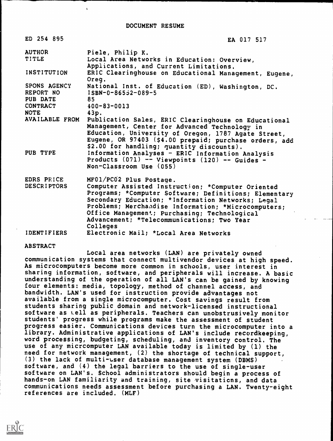| ED 254 895                                   | EA 017 517                                                                                                                                                                                                                                                                                                                        |
|----------------------------------------------|-----------------------------------------------------------------------------------------------------------------------------------------------------------------------------------------------------------------------------------------------------------------------------------------------------------------------------------|
| <b>AUTHOR</b>                                | Piele, Philip K.                                                                                                                                                                                                                                                                                                                  |
| TITLE                                        | Local Area Networks in Education: Overview,<br>Applications, and Current Limitations.                                                                                                                                                                                                                                             |
| INSTITUTION                                  | ERIC Clearinghouse on Educational Management, Eugene,<br>Oreg.                                                                                                                                                                                                                                                                    |
| SPONS AGENCY<br>REPORT NO<br><b>PUB DATE</b> | National Inst. of Education (ED), Washington, DC.<br>$ISBN-0-86532-089-5$<br>85                                                                                                                                                                                                                                                   |
| <b>CONTRACT</b>                              | $400 - 83 - 0013$                                                                                                                                                                                                                                                                                                                 |
| <b>NOTE</b>                                  | 43p.                                                                                                                                                                                                                                                                                                                              |
| AVAILABLE FROM                               | Publication Sales, ERIC Clearinghouse on Educational<br>Management, Center for Advanced Technology in<br>Education, University of Oregon, 1787 Agate Street,<br>Eugene, OR 97403 (\$4.00 prepaid; purchase orders, add<br>\$2.00 for handling; quantity discounts).                                                               |
| PUB TYPE                                     | Information Analyses - ERIC Information Analysis<br>Products $(071)$ -- Viewpoints $(120)$ -- Guides -<br>Non-Classroom Use (055)                                                                                                                                                                                                 |
| EDRS PRICE                                   | MF01/PC02 Plus Postage.                                                                                                                                                                                                                                                                                                           |
| <b>DESCRIPTORS</b>                           | Computer Assisted Instruction; *Computer Oriented<br>Programs; *Computer Software; Definitions; Elementary<br>Secondary Education; * Information Networks; Legal<br>Problems; Merchandise Information; *Microcomputers;<br>Office Management; Purchasing; Technological<br>Advancement; *Telecommunications; Two Year<br>Colleges |
| <b>IDENTIFIERS</b>                           | Electronic Mail; *Local Area Networks                                                                                                                                                                                                                                                                                             |

#### ABSTRACT

Local area networks (LAN) are privately owned communication systems that connect multivendor devices at high speed. As microcomputers become more common in schools, user interest in sharing information, software, and peripherals will increase. A basic understanding of the operation of all LAN's can be gained by knowing four elements: media, topology, method of channel access, and bandwidth. LAN's used for instruction provide advantages not available from a single microcomputer. Cost savings result from students sharing public domain and network-licensed instructional software as well as peripherals. Teachers can unobstrusively monitor students' progress while programs make the assessment of student progress easier. Communications devices turn the microcomputer into a library. Administrative applications of LAN's include recordkeeping, word processing, budgeting, scheduling, and inventory control. The use of any micrcomputer LAN available today is limited by (1) the need for network management, (2) the shortage of technical support, (3) the lack of multi-user database management system (DBMS) software, and (4) the legal barriers to the use of single-user software on LAN's. School administrators should begin a process of hands-on LAN familiarity and training, site visitations, and data communications needs assessment before purchasing a LAN. Twenty-eight references are included. (MLF)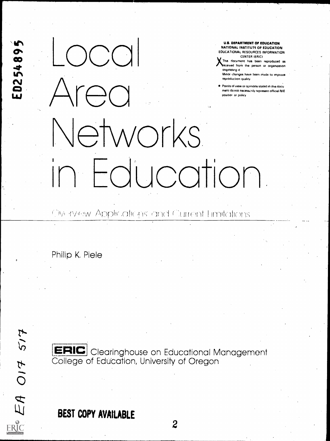US. DEPARTMENT OF EDUCATION<br>
MATIONAL INSTITUTE OF EDUCATION<br>
EDUCATIONAL RESOURCES INFORMATION<br>
EDUCATIONAL RESOURCES INFORMATION<br>
CENTER IERC:<br>
MATION THE SCONNEL RESOURCES INFORMATION<br>
CENTER IERC:<br>
MATION THE SCONNEL R reproduction quality<br>Points of view or opinions stated in this document to not necessarily represent official NIE<br>position or policy atworks U.S. DEPARTMENT OF EDUCATION NATIONAL INSTITUTE OF EDUCATION EDUCATIONAL RESOURCES INFORMATION This document has been reproduced as eceived from the person or organization originating it Minor changes have been made to improve reproduction quality Points of view or opinions stated in this docu ment do not necessarily represent official NIE position or policy -di Indtion

CENTER (ERIC)

### Owe inverw. Applications and Current Limitations

Philip K. Piele

### [ERIC Clearinghouse on Educational Management College of Education, University of Oregon **College** of Education, University of Oregon

### BEST COPY AVAILABLE

 $5/7$ EA 017 ERIC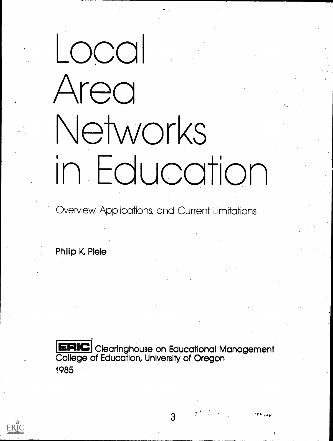# nocol rea \e-works in Education

Overview, Applications, and Current Limitations

Philip K. Piele

ERIC Clearinghouse on Educational Management College of Education, University of Oregon 1985

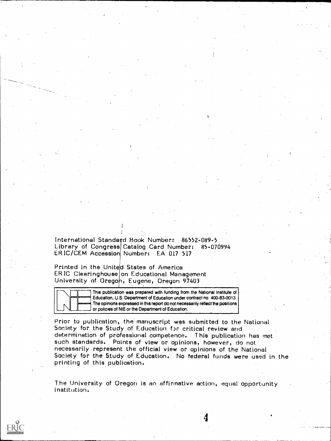International Standard Book Number: 86552-089-5 Library of Congress Catalog Card Number: 85-070994 ERIC/CEM Accession Number: EA 017 517

Printed in the United States of America ERIC Clearinghouse on Educational Management<br>University of Oregon, Eugene, Oregon 97403

> This publication was prepared with funding from the National Institute of Education, U.S. Department of Education under contract no. 400-83-0013. The opinions expressed in this report do not necessarily reflect the positions or policies of NIE or the Department of Education.

Prior to publication, the manuscript was submitted to the National Society for the Study of Education for critical review and determination of professional competence. This publication has met such standards. Points of view or opinions, however, do not<br>necessarily represent the official view or opinions of the National<br>Society for the Study of Education. No federal funds were used in the printing of this publication.

The University of Oregon is an affirmative action, equal opportunity institution.

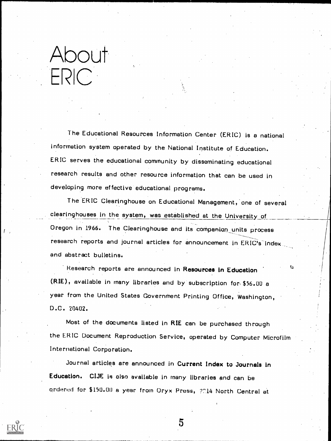# About ERIC

The Educational Resources Information Center (ERIC) is a national information system operated by the National Institute of Education. ERIC serves the educational community by disseminating educational research results and other resource information that can be used in developing more effective educational programs.

The ERIC Clearinghouse on Educational Management, one of several clearinghouses in the system, was established at the University. of Oregon in 1966. The Clearinghouse and its companion units process research reports and journal articles for announcement in ERIC's index and abstract bulletins.

Research reports are announced in Resources in Education (RIE), available in many libraries and by subscription for \$56.00 <sup>a</sup> year from the United States Government Printing Office, Washington, D.C. 20402.

Most of the documents listed in RIE can be purchased through the ERIC Document Reproduction Service, operated by Computer Microfilm International Corporation.

5

Journal articles are announced in Current Index to Journals in Education. CIJE is also available in many libraries and can be ordered for \$150.00 a year from Oryx Press, ?714 North Central at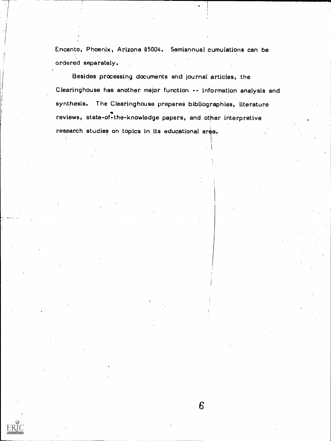Encanto, Phoenix, Arizona 85004. Semiannual cumulations can be ordered separately.

Besides processing documents and journal articles, the Clearinghouse has another major function -- information analysis and synthesis. The Clearinghouse prepares bibliographies, literature reviews, state-of-the-knowledge papers, and other interpretive research studies on topics in its educational area.

 $\mathcal{I}_\mathrm{c}$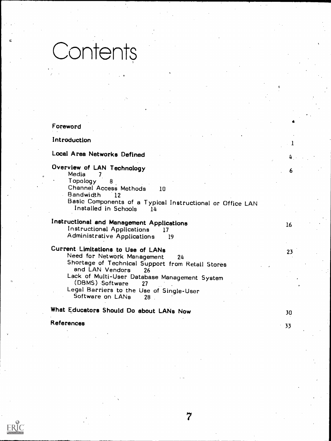# Contents

#### Foreword

#### Introduction

#### Local Area Networks Defined

### Overview of LAN Technology

Media <sup>7</sup> Topology 8 Channel Access Methods 10<br>Bandwidth 12 **Bandwidth** Basic Components of a Typical Instructional or Office LAN Installed in Schools 14 Installed in Schools

#### Instructional and Management Applications Instructional Applications <sup>17</sup> Administrative Applications <sup>19</sup>

### Current Limitations to Use of LANs

Need for Network Management 24 Shortage of Technical Support from Retail Stores<br>and LAN Vendors 26 and LAN Vendors Lack of Multi-User Database Management System (DBMS) Software Legal Barriers to the Use of Single-User<br>Software on LANs 28

What Educators Should Do about LANs Now 30

References <sup>33</sup>

23

4

1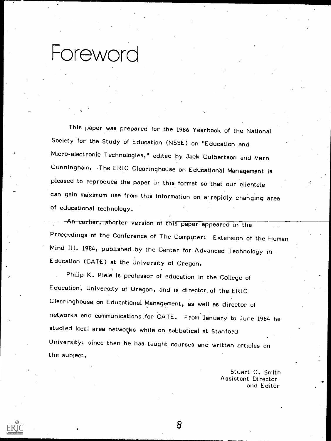### Foreword

This paper was prepared for the 1986 Yearbook of the National Society for the Study of Education (NSSE) on "Education and Micro-electronic Technologies," edited by Jack Culbertson and Vern Cunningham. The ERIC Clearinghouse on Educational Management is pleased to reproduce the paper in this format so that our clientele can gain maximum use from this information on a rapidly changing area of educational technology.

 $--$  An earlier, shorter version of this paper appeared in the Proceedings of the Conference of The Computer: Extension of the Human Mind III, 1984, published by the Center for Advanced Technology in Education (GATE) at the University of Oregon.

Philip K. Piele is professor of education in the College of Education, University of Oregon, and is director of the ERIC Clearinghouse on Educational Management, as well as director of networks and communications ,for CATE. From January to June 1984 he studied local area networks while on sabbatical at Stanford University; since then he has taught courses and written articles on the subject.

8

Stuart C. Smith Assistant Director and Editor <sup>4</sup>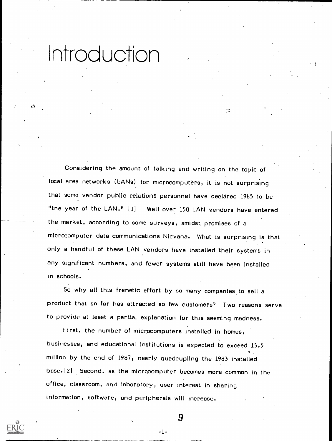Introduction

 $\mathbf{Q}$ 

Considering the amount of talking and writing on the topic of local area networks (LANs) for microcomputers, it is not surprising that some vendor public relations personnel have declared 1985 to be "the year of the LAN." [1] Well over 150 LAN vendors have entered the market, according to some surveys, amidst promises of a microcomputer data communications Nirvana. What is surprising is that only a handful' of these LAN vendors have installed 'their systems in any significant numbers, and fewer systems still have been installed in schools.

 $\mathbb{C}$ 

5o why all this frenetic effort by so many companies to sell a product that so far has attracted so few customers? Two reasons serve to provide at least a partial explanation for this seeming madness.

First, the number of microcomputers installed in homes, businesses, and educational institutions is expected to exceed 15.5 million by the end of 1987, nearly quadrupling the 1983 installed base.12] Second, as the microcomputer becomes more common in the office, classroom, and laboratory, user interest in sharing information, software, and peripherals will increase.

-1-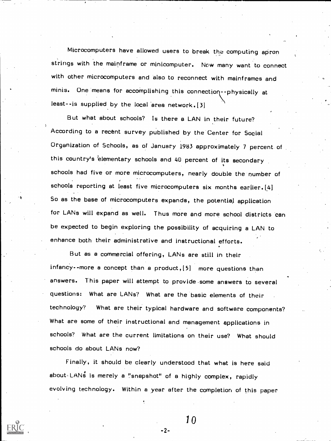Microcomputers have allowed users to break the computing apron strings with the mainframe or minicomputer. Now many want to connect with other microcomputers and also to reconnect with mainframes and minis. One means for accomplishing this connection--physically at least--is supplied by the local area network. (3]

But what about schools? Is there a LAN in their future? According to a recent survey published by the Center for Social Organization of Schools, as of January 1983 approximately 7 percent of this country's elementary schools and 40 percent of its secondary schools had five or more microcomputers, nearly double the number of schools reporting at least five microcomputers six months earlier. [4] So as the base of microcomputers expands, the potential application for LANs will expand as well. Thus more and more school districts can be expected to begin exploring the possibility of acquiring a LAN to enhance both their administrative and instructional efforts.

But as a commercial offering, LANs are still in their infancy--more a concept than a product, [5] more questions than answers. This paper will attempt to provide -some answers to several questions: What are LANs? What are the basic elements of their technology? What are their typical hardware and software components? What are some of their instructional and management applications in schools? What are the current limitations on their use? What should schools do about LANs now?

Finally, it should be clearly understood that what is here said about-LANs is merely a "snapshot" of a highly complex, rapidly evolving technology. Within a year after the completion of this paper

-2-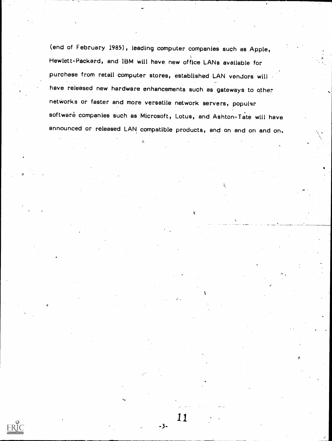(end of February 1985), leading computer companies such as Apple, Hewlett-Packard, and IBM will have new office LANs available for purchase from retail computer stores, established LAN vendors will have released new hardware enhancements such as gateways to other networks or faster and more versatile network servers, popular software companies such as Microsoft, Lotus, and Ashton-Tate will have announced or released LAN compatible products, and on and on and on.

11

 $-3-$ 

**ERIC**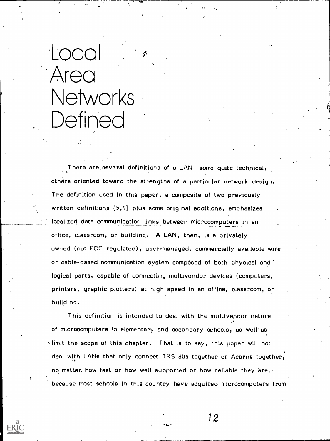# Local : Area Networks Defined

fo

There are several definitions of a LAN--some, quite technical, others oriented toward the strengths of a particular network design. The definition used in this paper, a composite of two previously written definitions. [5,6] plus some original additions, emphasizes localized data communication links between microcomputers in an office, classroom, or building. A LAN, then, is a privately owned (not FCC regulated), user-managed, commercially available wire or cable-based communication system composed of both physical and logical parts, capable of connecting multivendor devices (computers, printers, graphic plotters) at high speed in an office, classroom, or building.

e<br>El Component

This definition is intended to deal with the multivendor nature of microcomputers in elementary and secondary schools, as well'as limit the scope of this chapter. That is to say, this paper will not deal with LANs that only connect IRS 80s together or Acorns together, no matter how fast or how well supported or how reliable they are, because most schools in this country have acquired microcomputers from

 $-4-$ 

12

ot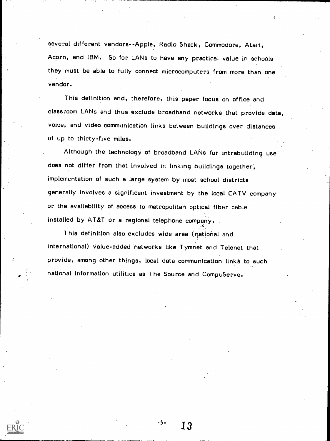several different vendors--Apple, Radio Shack, Commodore, Atari, Acorn, and IBM. So for LANs to have any practical value in schools they must be able to fully connect microcomputers from more than one vendor.

This definition and, therefore, this paper focus on office and classroom LANs and thus exclude broadband networks that provide data, voice, and video communication links between buildings over distances of up to thirty-five miles.

Although the technology of broadband LANs for intrabuilding use does not differ from that involved in linking buildings together, implementation of such a large system by most school districts generally involves a significant investment by the local CA TV company or the availability of access to metropolitan optical fiber cable installed by AT&T or a regional telephone company.

This definition also excludes wide area (national and international) value-added networks like Tymnet and Telenet that provide, among other things, local data communication links to such national information utilities as The Source and CompuServe.

 $-5 - 13$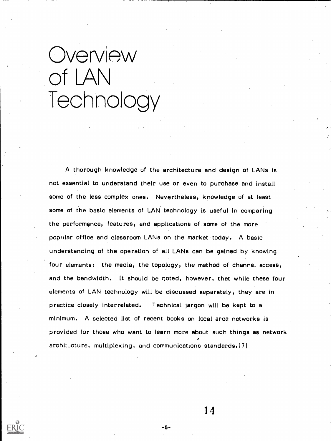# **Overview** of LAN Technology

A thorough knowledge of the architecture and design of LANs is not essential to understand their use or even to purchase and install some of the' less complex ones. Nevertheless, knowledge of at least some of the basic elements of LAN technology is useful in comparing the performance, features, and applications of some of the more poptilar office and classroom LANs on the market today. A basic understanding of the operation of all LANs can be gained by knowing four elements: the media, the topology, the method of channel access, and the bandwidth. It should be noted, however, that while these four elements of LAN technology will be discussed separately, they are in practice closely interrelated. Technical jargon will be kept to a minimum. A selected list of recent books on local area networks is provided for those who want to learn more about such things as network architecture, multiplexing, and communications standards. [7]

1 4

-6-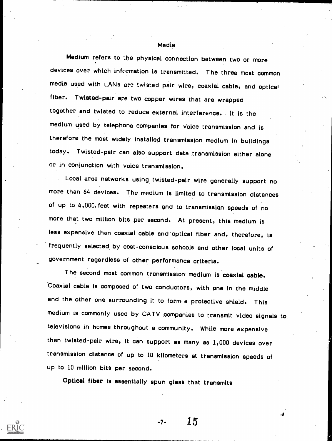#### Media

Medium refers to the physical connection between two or more devices over which information is transmitted. The three most common media used with LANs are twisted pair wire, coaxial cable, and optical fiber. Twisted-pair are two copper wires that are wrapped together and twisted to reduce external interference. It is the medium used by telephone companies for voice transmission and is therefore the most widely installed transmission medium in buildings today. Twisted-pair can also support data transmission either alone or in conjunction with voice transmission.

Local area networks using twisted-pair wire generally support no more than 64 devices. The medium is limited to transmission distances of up to 4,000. feet with repeaters and to transmission speeds of no more that two million bits per second. At present, this medium is less expensive than coaxial cable and optical fiber and, therefore, is frequently selected by cost-conscious schools and other local units of government regardless of other performance criteria.

T he second most common transmission medium is coaxial cable. Coaxial cable is composed of two conductors, with one in the middle and the other one surrounding it to form-a protective shield. This medium is commonly used by CATV companies to transmit video signals to. televisions In homes throughout a community. While more expensive than twisted-pair wire, it can support as many as 1,000 devices over transmission distance of up to 10 kilometers at transmission speeds of up to 10 million bits per second.

Optical fiber is essentially spun glass that transmits

 $-7 - 15$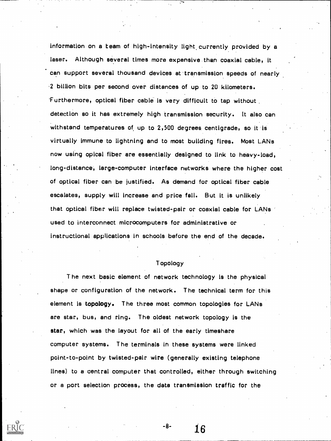information on a team of high-intensity light, currently provided by <sup>a</sup> laser. Although several times more expensive than coaxial cable, it can support several thousand devices at 'transmission speeds of nearly 2 billion bits per second over distances of up to 20 kilometers. 'Furthermore, optical fiber cable is very difficult to tap without detection so it has extremely high transmission security. It also can withstand temperatures of up to 2,500 degrees centigrade, so it is virtually immune to lightning and to most building fires. Most LANs now using opical fiber are essentially designed to link to heavy-load, long-distance, large-computer interface networks where the higher cost of optical fiber can be justified. As demand for optical fiber cable escalates, supply will Increase and price fall. But it is unlikely that optical fiber will replace twisted-pair or coaxial cable for LANs used to interconnect microcomputers for administrative or instructional applications in schools before the end of the decade.

#### Topology

The next basic element of network technology is the physical shape or configuration of the network. The technical term for this element is topology. The three most common topologies for LANs are star, bus, and ring. The oldest network topology is the star, which was the layout for all of the early timeshare computer systems. The terminals in these systems were linked point-to-point by twisted-pair wire (generally existing telephone lines) to a central computer that controlled, either through switching or a port selection process, the data transmission traffic for the

 $-8-16$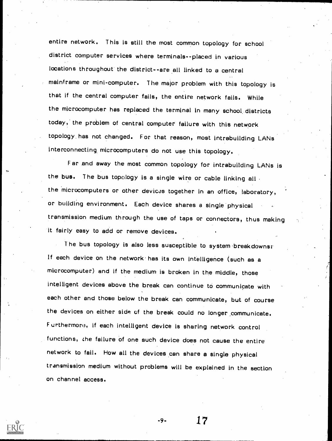entire network. This is still the most common topology for school district computer services where terminals--placed in various locations throughout the district--are all linked to a central mainframe or mini-computer. The major problem with this topology is that if the central computer fails, the entire network fails. While the microcomputer has replaced the terminal in many school districts today,' the problem of central computer failure with this network topology. has not changed. For that reason, most intrabuilding LANs interconnecting, microcomputers do not use this topology.

Far and away the most common topology for intrabuilding LANs is the bus. The bus topology is a single wire or cable linking all. the microcomputers or other devices together in an office, laboratory, or building environment. Each device shares a single physical transmission medium through the use of taps or connectors, thus making it fairly easy to add or remove devices.

The bus topology is also less susceptible to system'breakdownsr If each device on the network has its own intelligence (such as a microcomputer) and if the medium is broken in the middle, those intelligent devices above the break can continue to communicate with each other and those below the break can communicate, but of course the devices on either side of the break could no longer communicate. F urthermoro, if each intelligent device is sharing network control functions, the failure of one such device does not cause the entire network to fail. How all the devices can share a single physical transmission medium without problems will be explained in the section on channel access.

-9- 17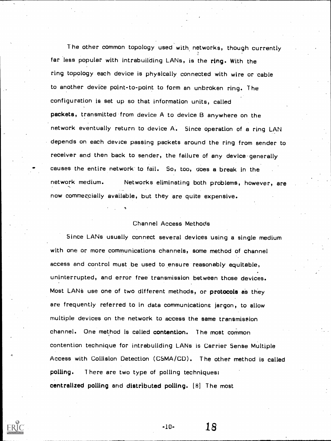The other common topology used with networks, though currently far less popular with intrabuilding LANs, is the ring. With the ring topology each device is physically connected with wire or cable to another device point-to-point to form an unbroken ring. The configuration is set up so that information units, called packets, transmitted from device A to device B anywhere on the network eventually return to device A. Since operation of a ring LAN depends on each device passing packets around the ring from sender to receiver and then back to sender, the failure of any device generally causes the entire network' to fail. So, too, does a break in the network medium. now commercially available, but they are quite expensive. Networks eliminating both problems, however, are

#### Channel Access Methods

Since LANs usually connect several devices using a single medium with one or more communications channels, some method of channel access and control must be used to ensure reasonably equitable, uninterrupted, and error free transmission between those devices. Most LANs use one of two different methods, or protocols as they are frequently referred to in data communications jargon, to allow multiple devices on the network to access the same transmission channel. One method is called contention. The most common contention technique for intrabuilding LANs is Carrier Sense Multiple Access with Collision Detection (CSMA/CD). The other method is called polling. 1 here are two type of polling techniques: centralized polling and distributed polling. [81 The most

-10- 18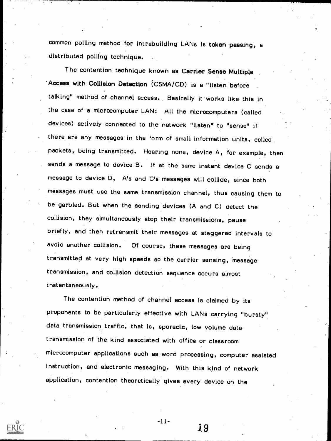common polling method for intrabuilding LANs is token passing, a distributed polling technique.

The contention technique known as Carrier Sense Multiple Access with Collision Detection (CSMA /CD) is a "listen before talking" method of \_channel access., Basically it' works like this in the case of 'a microcomputer LAN: All the microcomputers (called devices) actively connected to the network "listen" to "sense" if there are any messages in the form of small information units, called packets, being transmitted. Hearing none, device A, for example, then sends a message to device B. If at the same instant device C sends a message to device D, A's and C's messages will collide, since both messages must use the same transmission channel, thus causing them to be garbled.. But when the sending devices (A and C) detect the collision, they simultaneously stop their transmissions, pause briefly, and then retransmit their messages at staggered intervals to avoid another collision. Of course, these messages are being transmitted at very high speeds so the carrier sensing, 'message transmission? and collision detection sequence occurs almost instantaneously.

The contention method of channel access is claimed by its proponents to be particularly effective with LANs carrying "bursty" data transmission traffic, that is, sporadic, low volume data transmission of the kind associated with office or classroom microcomputer applications such as word processing, computer assisted instruction, and electronic messaging. With this kind of network application, contention theoretically gives every device on the

 $-11-$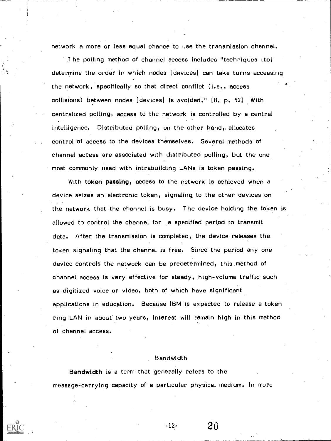network a more or less equal chance to use the transmission channel.

The polling method of channel access includes "techniques  $\lceil \text{to} \rceil \rceil$ determine the order in which nodes [devices] can take turns accessing the network, specifically so that direct conflict (i.e., access collisions) between nodes  $[devices]$  is avoided."  $[8, p. 52]$  With centralized polling, access to the network is controlled by a central intelligence. Distributed polling, on the other hand, allocates control of access to the devices themselves. Several methods of channel access are associated with distributed polling, but the one most commonly used with intrabuilding LANs is token passing.

With token passing, access to the network is achieved when a device seizes an electronic token, signaling to the other devices on the network that the channel is busy. The device holding the token is allowed to control the channel for a specified period to transmit data. After the transmission is completed, the device releases the token signaling that the channel is free. Since the period any one device controls the network can be predetermined, this method of channel access is very effective for steady, high-volume traffic such as digitized voice or video, both of which have significant applications in education. Because IBM is expected to release a token ring LAN in about two years, interest will remain high in this method of channel access.

#### Bandwidth

 $-12-$ 

20

Bandwidth is a term that generally refers to the messege-carrying capacity of a particular physical medium. In more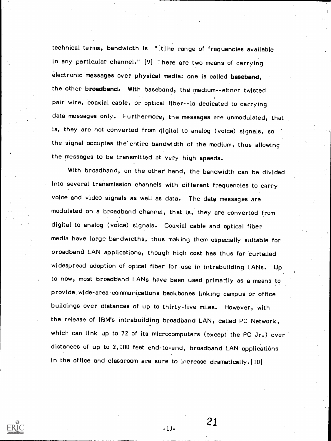technical terms, bandwidth is "[t] he range of frequencies available in any particular channel." [91 There are two means of carrying electronic messages over physical media: one is called baseband, the other broadband. With baseband, the medium--either twisted pair wire, coaxial cable, or optical fiber--is dedicated to carrying data messages only. Furthermore, the messages are unmodulated, that is, they are not converted from digital to analog (voice) signals, so the signal occupies the entire bandwidth of the medium, thus allowing the messages to be transmitted at very high speeds.

With broadband, on the other' hand, the bandwidth can be divided into several transmission channels with different frequencies to carry voice and video signals as well as data. The data messages are modulated on a broadband channel, that is, they are converted from digital to analog (vdice) signals. Coaxial cable and optical fiber media have large bandwidths, thus making them especially suitable for broadband LAN applications, though high cost has thus far curtailed widespread adoption of opical fiber for use in intrabuilding LANs. Up to now, most broadband .LANs have been used primarily as a means to provide wide -area communications backbones linking campus or office buildings over distances of up to thirty-five miles. However, with the release of IBM's intrabuilding broadband LAN, called PC Network, which can link up to 72 of its microcomputers (except the PC Jr.) over distances of up to 2,000 feet end-to-end, broadband LAN applications in the office and classroom are sure to increase dramatically.[10]

-13-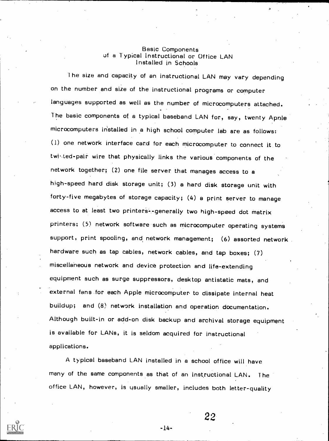### Basic Components<br>of a Typical Instructional or Office LAN Installed in Schools

l he size and capacity of an instructional LAN may vary depending on the number and size of the instructional programs or computer languages supported as well as the number of microcomputers attached. The basic components of a typical baseband LAN for, say, twenty Apnle microcomputers installed in a high school computer lab are as follows: (1) one network interface card for each microcomputer to connect it to twisted-pair wire that physically links the various components of the network together; (2) one file server that manages access to a high-speed hard disk storage unit; (3) a hard disk storage unit with forty-five megabytes of storage capacity; (4) a print server to manage access to at least two printers--generally two high-speed dot matrix printers; (5) network software such as microcomputer operating systems support, print spooling, and network management; (6) assorted network hardware such as tap cables, network cables, and tap boxes; (7) miscellaneous network and device protection and life-extending equipment such as surge suppressors, desktop antistatic mats, and external fans for each Apple microcomputer to dissipate internal heat buildup; and (8.) network installation and operation documentation. Although built-in or add-on disk backup and archival storage equipment is available for LANs, it is seldom acquired for instructional applications.

A typical baseband LAN installed in a school office will have many of the same components as that of an instructional LAN. The office LAN, however, is usually smaller, includes both letter-quality

 $-14-$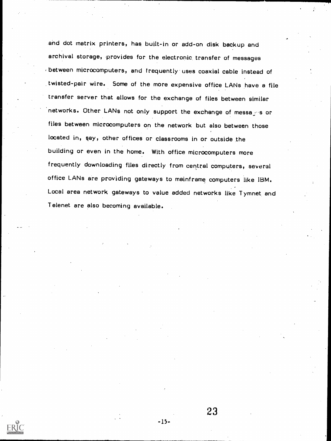and dot matrix printers, has built-in or add-on disk backup and archival storage, provides for the electronic transfer of messages between microcomputers, and frequently uses coaxial cable instead of twisted-pair wire. Some of the more expensive office LANs have a file transfer server that allows for the exchange of files between similar networks. Other LANs not only support the exchange of messages or files between microcomputers on the network but also between those located in, say, other offices or classrooms in or outside the building or even in the home. With office microcomputers more frequently downloading files directly from central computers, several office LANs are providing gateways to mainframe computers like IBM. Local area network gateways to value added networks like Tymnet and Telenet are also becoming available.

23

-15-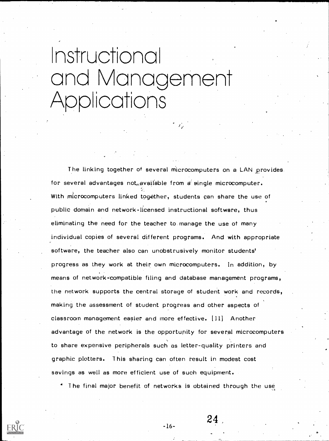# Instructional ono Vanace ment Applications

The linking together of several microcomputers on a LAN provides for several advantages not, available from  $a^i$  single microcomputer. With microcomputers linked together, students can share the use of public domain and network-licensed instructional software, thus eliminating the need for the teacher to manage the use of many individual copies of several different programs. And with appropriate software, the teacher also can unobstrusively monitor students' progress as they work at their own microcomputers. In addition, by means of network-compatible filing and database management programs, the network supports the central storage of student work and records, making the assessment of student progress and other aspects of classroom management easier and more effective. Ill] Another advantage of the network is the opportunity for several microcomputers to share expensive peripherals such as letter-quality printers and graphic plotters. T his sharing can often result in modest cost savings as well as more efficient use of such equipment.

The final major benefit of networks is obtained through the use

 $-16-$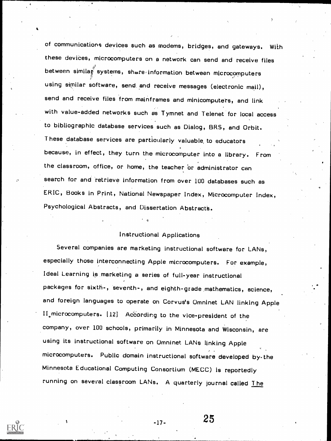of communications devices such as modems, bridges, and gateways. With these devices, microcomputers on a network can send and receive files between similar systems, share information between microcomputers using similar software, send and receive messages (electronic mail), send and receive files from mainframes and minicomputers, and link with value-added networks such as Tymnet and Telenet for local access to bibliographic database services such as Dialog, BRS, and Orbit. These database services are particularly valuable, to educators because, in effect, they turn the microcomputer into a library. From the classroom, office, or home, the teacher or administrator can search for and retrieve information from over 100 databases such as ERIC, Books in Print, National Newspaper Index, Microcomputer Index, Psychological Abstracts, and Dissertation Abstracts.

#### Instructional Applications

Several companies are marketing instructional software for LANs, especially those interconnecting Apple microcomputers. For example, Ideal Learning is marketing a series of full-year instructional packages for sixth-, seventh-, and eighth -grade .mathematics, science, and foreign languages to operate on Corvus's Omninet LAN linking Apple II microcomputers. [12] According to the vice-president of the company, over 100 schools, primarily in Minnesota and Wisconsin, are using its instructional software on Omninet LANs linking Apple microcomputers. Public domain instructional software developed by- the Minnesota Educational Computing Consortium (MECC) is reportedly running on several classroom LANs. A quarterly journal called The

 $\frac{1}{25}$  -17- 25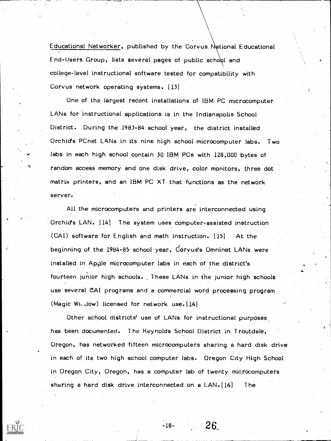Educational Networker, published by the Corvus Motional Educational End-Users Group, lists several pages of public school and college-level instructional software tested for compatibility with Corvus network operating systems. [131

One of the largest recent installations of IBM PC microcomputer LANs for 'instructional applications is in the Indianapolis School District. During the 1983-84 school year, the district installed Orchid's PCnet LANs in its nine high school microcomputer labs. Two labs in each high school contain 30 IBM PCs with 128,000 bytes of random access memory and one disk drive, color monitors, three dot matrix printers, and an IBM PC XT that functions as the network server.

All the microcomputers and printers are interconnected using Orchid's LAN. [14] The system uses computer-assisted instruction (CAI) software for English and math instruction. [15] At the beginning of the 1984-85 school year, Corvus's Omninet LANs were installed in Apple microcomputer labs in each of the district's fourteen junior high schools. These LANs in the junior high schools use several CAI programs and a commercial word processing program (Magic Wii.Jow) licensed for network use. [14)

Other school districts' use of LANs for instructional purposes has been. documented. The Reynolds School District in Troutdale, Oregon, has networked fifteen microcomputers sharing a hard disk drive in each of its two high school computer labs. Oregon City High School in Oregon City, Oregon, has a computer lab of twenty microcomputers sharing a hard disk drive interconnected on a  $LAN.[16]$  The

 $-18- 26$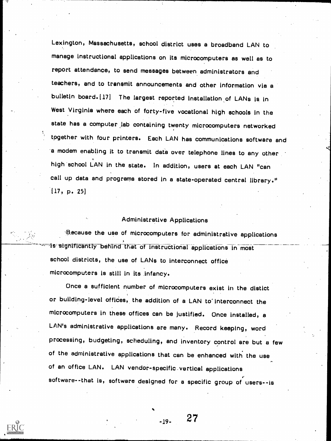Lexington, Massachusetts, school district uses a broadband LAN to manage instructional applications on its microcomputers as well as to report attendance, to send messages between administrators and teachers, and to transmit announcements and other information vie <sup>a</sup> bulletin board. [17] The largest reported installation of LANs is in West Virginia where each of forty-five vocational high schools in the state has a computer lab containing twenty microcomputers networked tpgether with four printers. Each LAN has communications software and .a modem enabling it to transmit data over telephone lines to any other high school LAN in the state. In addition, users at each LAN "can call up data and programs stored in a state-operated central library." (17, p. 25)

#### Administrative Applications

13,ecause the use of microcomputers for administrative applications is significantly behind that of instructional applications in most school districts, the use of LANs to interconnect office microcomputers is still in its infancy.

Once a sufficient number of microcomputers exist in the distict or building-level offices, the addition of a LAN to interconnect the microcomputers in these offices can be justified. Once installed, a LAN's administrative applications are many. Record keeping, word processing, budgeting, scheduling, and inventory control are but a few of the administrative applications that can be enhanced with the use of an office LAN. LAN vendor-specific\_vertical applications software--that is, software designed for a specific group of users--is

27

 $-19-$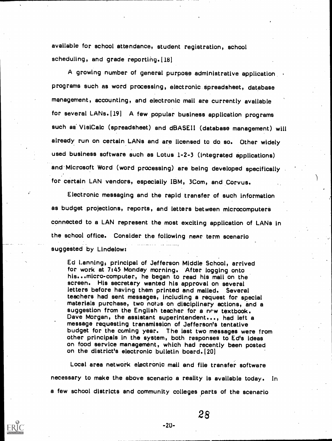available for school attendance, student registration, school scheduling, and grade reporting. [18]

A growing number of general purpose administrative application programs such as word processing, electronic spreadsheet, database management, accounting, and electronic mail are currently available for several LANs.1191 A few popular business application programs such as VisiCalc (spreadsheet) and dBASEII (database management) will already run on certain LANs and are licensed to do. so. Other widely used business software such as Lotus 1-2-3 (Integrated applications) and Microsoft Word (word processing) are being developed specifically for certain LAN vendors, especially IBM, 3Com, and Corvus.

Electronic messaging and the rapid transfer of such information as budget projections, reports, and letters between microcomputers connected to a LAN represent the most exciting application of LANs in the school office. Consider the following near term scenario suggested by Lindelow:

Ed Lanningi principal of Jefferson Middle School, arrived for work at 7:45 Monday morning. After logging onto his...micro-computer, he began to read his mail on the screen. His secretary wanted his approval on several letters before having them printed and mailed. Several teachers had sent messages, including a request for special materials purchase, two notes on disciplinary actions, and a suggestion from the English teacher for a new textbook. Dave Morgan, the assistant superintendent..., had left a<br>message requesting transmission of Jefferson's tentative budget for the coming year. The last two messages were from<br>other principals in the system, both responses to Ed's ideas on food service management, which had recently been posted on the district's electronic builetin board. [20]

Local area network electronic mail and file transfer software necessary to make the above scenario a reality is available today. In a few school districts and community colleges parts of the scenario



-20-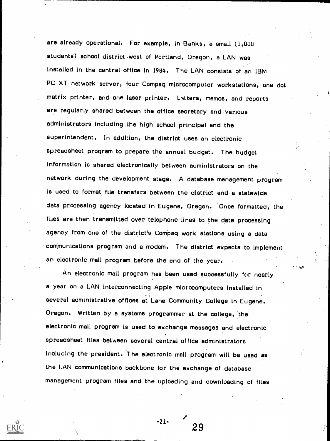are already operational. For example, in Banks, a small (1,000 students) school district west of Portland, Oregon, a LAN was installed in the central office in 1984. The LAN consists of an IBM PC XT network server, four Compaq microcomputer workstations, one dot matrix printer, and one laser printer. Latters, memos, and reports are regularly shared between the office secretary and-various administrators including the high school principal and the superintendent. In addition, the district uses an electronic spreadsheet program to prepare the annual budget. The budget Information is shared electronically between administrators on the network during the development stage. A database management program is used to format file transfers between the district and a statewide data processing agency located in Eugene, Oregon. Once formatted, the files are then transmitted over telephone lines to the data processing agency from one of the district's Compaq work stations using a data communications program and a modem. The district expects to implement an electronic mail program before the end of the year.

An electronic mail program has been used successfully for nearly a year on a LAN interconnecting Apple microcomputers installed in several administrative offices at Lane Community College in Eugene, Oregon. Written by a systems programmer at the college, the electronic mail program is used to exchange messages and electronic spreadsheet files between several central office administrators including the president. The electronic mail program will be used as the LAN communications backbone for the exchange of database management program files and the uploading and downloading of files

-21-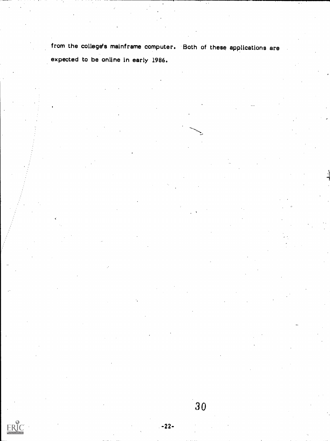from the college's mainframe computer. Both of these applications are expected to be online in early 1986.

-22-

ERIC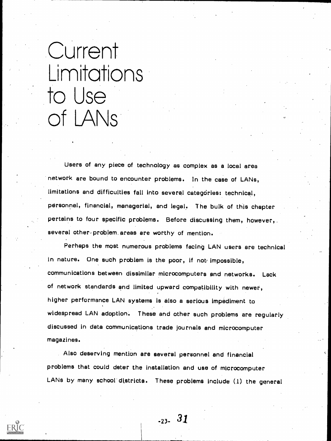### Current Limitations to Use of LANs<sup>:</sup>

Users of any piece of technology as complex as a local area network are bound to encounter problems. In the case of LANs, limitations and difficulties fall into several categories: technical, personnel, financial, managerial, and legal. The bulk of this chapter pertains to four specific problems. Before discussing them, however,. several other problem areas are worthy of mention.

Perhaps the most numerous problems facing LAN users are technical in nature. One such problem is the poor, if not impossible, communications between dissimilar microcomputers and networks. Lack of network standards and limited upward compatibility with newer, higher performance LAN systems is also a serious impediment to widespread LAN adoption. These and other such problems are regularly discussed in data communications trade journals and microcomputer magazines.

Also deserving mention are several personnel and financial problems that could deter the installation and use of microcomputer LANs by many school' districts. These problems include (1) the general

-23- 31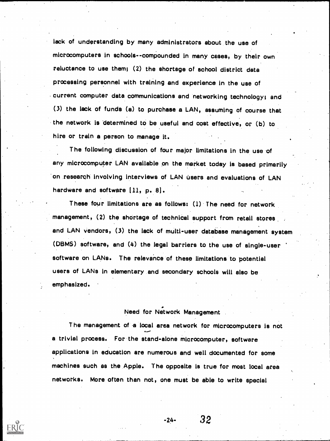lack of understanding by many administrators about the use of microcomputers in schools--compounded in many cases, by their own reluctance to use them; (2) the shortage of school district data processing personnel with training and experience in the use of current computer data communications and networking technology; and (3) the lack of funds (a) to purchase a LAN, assuming of course that the network is 'determined to be useful and cost effective, or (b) to hire or train a person to manage it.

The following discussion of four major limitations in the use of any microcomputer LAN available on the market today is based primarily on research involving interviews of LAN users and evaluations of LAN hardware and software  $[11, p. 8].$ 

These four limitations are as follows: (1) The need for network management, (2) the shortage of technical support from retail stores and LAN vendors, (3) the lack of multi-user database management system (DBMS) software, and (4) the legal barriers to the use of single-user software on LANs. The relevance of these limitations to potential users of LANs in elementary and secondary schools will also be emphasized.

Need for Network Management

The management of a local area network for microcomputers is not a trivial process. For the stand-alone microcomputer, software applications in education are numerous and well documented for some machines such as the Apple. The opposite is true for most 'local area networks. More often than not, one must be able to write special

 $-24-$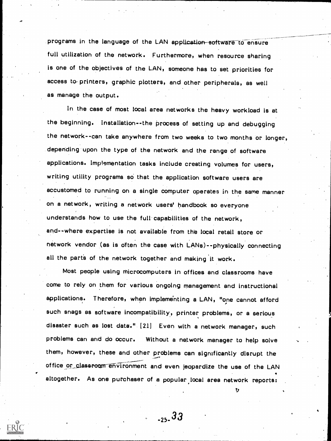programs in the language of the LAN application software to ensure full utilization of the network. Furthermore, when resource sharing is one of the objectives of the LAN, someone has to set priorities for access to printers, graphic plotters, and other peripherals, as well as manage the output.

In the case of most local area networks the heavy workload is at the beginning. Installation--the process of setting up and debugging the network--can take anywhere from two weeks to two months or longer, depending upon the type of the network and the range of software applications. Implementation tasks include creating volumes for users, writing utility programs so that the application software users are accustomed to running on a single computer operates in the same manner on a network, writing a network users' handbook so everyone understands how to use the full capabilities of the network, and--where expertise is not available from the local retail store or network vendor (as is Often the case with LANs)--physically connecting all the parts of the network together and making it work.

Most people using microcomputers in offices and classrooms have come to rely on them for various ongoing management and instructional applications. Therefore, when impleme'nting a LAN, "one cannot afford such snags as software incompatibility, printer problems, or a serious disaster such as lost data." [21] Even with a network manager, such problems can and do occur. Without a network manager to help solve them, however, these and other problems can significantly disrupt the office or classroom environment and even jeopardize the use of the LAN altogether. As one purchaser of a popular.local area network reports:

-25-33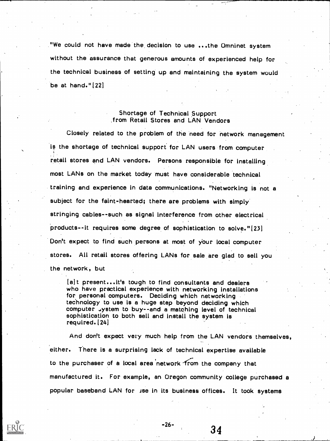"We could not have made the, decision to use ...the Omninet system without the assurance that generous amounts of experienced help for the technical business of setting up and maintaining the system would be at hand." (22]

#### Shortage of Technical Support from Retail Stores and LAN Vendors

Closely related to the problem of the need for network management is the shortage of technical support for LAN users from computer retail stores and LAN vendors. Persons responsible for installing most LANs on the market today must have considerable technical training and experience in data communications. "Networking is not <sup>a</sup> subject for the faint-hearted; there are problems with simply stringing cables--such as signal interference from other electrical products - -it requires some degree of sophistication to solve."[23] Don't expect to find such persons at most of your local computer stores. All retail stores offering LANs for sale are glad to sell you the network, but

(a)t present...it's tough to find consultants and dealers who have practical experience with networking installations for personal computers. Deciding which networking technology to use is a huge step beyond deciding which computer .ystem to buy--and a matching level of technical sophistication to both sell and install the system is required. (24]

And don't expect very much help from the LAN vendors themselves, either. There is a surprising lack of technical expertise available to the purchaser of a local area 'network -from the company that manufactured it. For example, an Oregon community college purchased a popular baseband LAN for ise in its business offices. It took systems

-26-

34

.1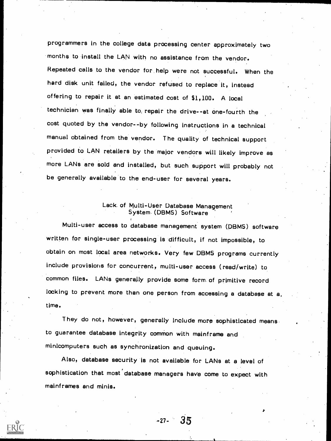programmers in the college data processing center approximately two months to install the LAN with no assistance from the vendor. Repeated calls to the vendor for help were not successful. When the hard disk unit failed, the vendor refused to replace it, instead offering to repair it at an estimated cost of \$1,100. A local technician was finally able to, repair the drive--at one-fourth the cost quoted by the vendor--by following instructions In a technical manual obtained from the vendor. The quality of technical support provided to LAN retailers by the major vendors will likely improve as more LANs are sold and installed, but such support will probably not be generally available to the end-user for several years.

### Lack. of Multi-User Database Management System. (DBMS) Software

Multi-user access to database management system (DBMS) software written for single-user processing is difficult, if not impossible, to obtain on most local area networks. Very few DBMS programs currently include provisions for concurrent, multi-user access (read/write) to common files. LANs generally provide some form of primitive record locking to prevent more than one person from accessing a database at a, time.

They do not, however, generally Include more sophisticated means to guarantee database integrity common with mainframe and minicomputers such as synchronization and queuing.

Also, database security is not available for LANs at a level of sophistication that most'database managers have come to expect with mainframes and minis.

-27- 35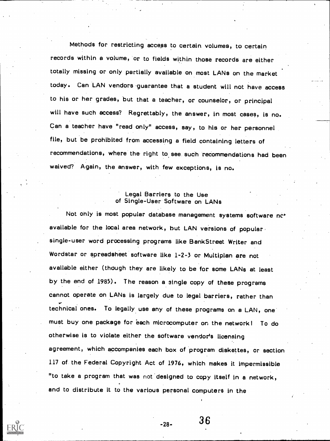Methods for restricting access to certain volumes, to certain records within a volume, 'or to fields within those records are either totally missing or only partially available on most LANs on the market today. Can LAN vendors guarantee that a student will not have access to his or her grades, but that a teacher, or counselor, or principal will have such access? Regrettably, the answer, in most cases, is no. Can a teacher have "read only" access, say, to his or her personnel file, but be prohibited from accessing a field containing letters of recommendations, where the right to see. such recommendations had been waived? Again, the answer, with few exceptions, is no.

#### Legal Barriers to the Use of Single-User Software on LANs

Not only is most popular database management systems software nc<sup>+</sup> available for the local area network, but LAN versions of popular. single-user word processing programs like Bank Street Writer and Wordstar or spreadsheet software like 1-2-3 or Multiplan are not available either (though they are likely to be for some LANs at least by the end of 1985). The reason a single copy of these programs cannot operate on LANs is largely due to legal barriers, rather than technical ones. To legally use any of these programs on a LAN, one must buy one package for each microcomputer on the network! To do otherwise is to violate either the software vendor's licensing agreement, which accompanies each box of program diskettes, or section 117 of. the Federal Copyright Act of 1976, which makes it impermissible "to take a program that was not designed to copy itself in a network, and to distribute it to the various personal computers in the

 $-28-$  36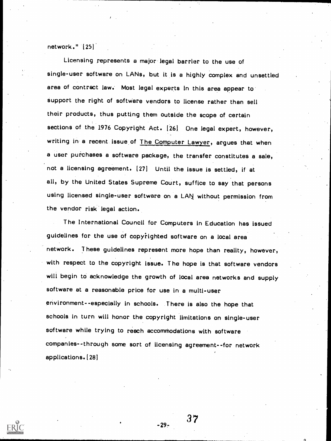network." [25]

Licensing represents a major legal barrier to the use of single-user software on LANs, but it is a highly complex and unsettled area of contract law. Most legal experts in this area appear to support the right of softviare vendors to license rather than sell their products, thus putting them outside the scope of certain sections of the 1976 Copyright Act. [26] One legal expert, however, writing in a recent issue of The Computer Lawyer, argues that when a user purchases a software package, the transfer constitutes a sale, not a licensing agreement. 127] Until the Issue is settled, if at all, by the United States Supreme Court, suffice to say that persons using licensed single-user software on a LAN without permission from the vendor risk legal action.

The International Council for Computers in Education has issued guidelines for the use of copyrighted software on a local area network. These guidelines represent more hope than reality, however, with respect to the copyright issue. The hope is that software vendors will begin to acknowledge the growth of local area networks and supply software at a reasonable price for use in a multi-user environment--especially in schools. There is also the hope that schools in turn will honor the copyright limitations on single-user software while trying to reach accommodations with software companies--through some sort of licensing agreement--for network applications. (28]

 $-29-$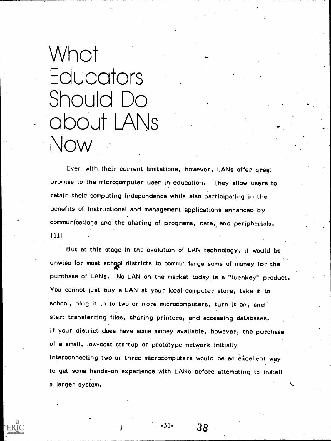# What **Educators** Should Do about LANs \ow

Even with their current limitations, however, LANs offer gregt promise to the microcomputer user in education. They allow users to retain their computing independence while also participating in the benefits of instructional and management applications enhanced by communications and the sharing of programs, data, and peripherials.  $[11]$ 

But at this stage in the evolution of LAN technology, it would be unwise for most school districts to commit large sums of money for the purchase of LANs. No LAN on the market today. is a "turnkey" product. You cannot just buy a LAN at your local computer store, take it to school, plug it in to two or more microcomputers, turn it on, and start transferring files, sharing printers, and accessing databases. If your district does have some money available, however, the purchase of a small, low-cost startup or prototype network initially Interconnecting two or three microcomputers would be an excellent way to get some hands-oh experience with LANs before attempting to install a larger system.

-<sup>30-</sup> 38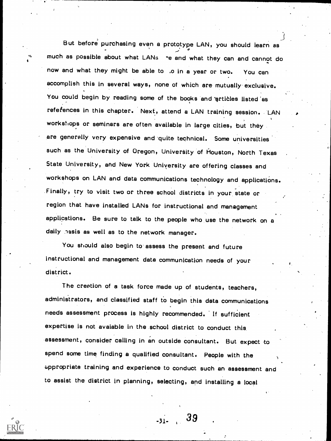But before purchasing even a prototype LAN, you should learn as much as possible about what LANs re and what they can and cannot do now and what they might be able to ,o in a year or two. You can accomplish this in several ways, none of which are mutually exclusive. You could begin by reading some of the books and articles listed as refefences in this chapter. Next, attend a LAN training session. LAN workshops or seminars are often available in large cities, but they are generally very expensive and quite technical. Some universities such as the University of Oregon, University of Houston, North Texas State University, and New York Uniyersity are offering classes and workshops on LAN and data communications technology and applications. Finally, try to visit two or three school districts in your state or region that have installed LANs for instructional and management applications. Be sure to talk to the people who use the network on a daily hasis as well as to the network manager.

You should also begin to assess the present and future instructional and management data communication needs of your district.

The creation of a task force made up of students, teachers, administrators, and classified staff to begin this data communications needs assessment process is highly recommended. If sufficient expertise is not avaiable In the school district to conduct this assessment, consider calling in an outside consultant. But expect to spend some time finding a qualified consultant. People with the iippropriate training and experience to conduct such an assessment and to assist the district In planning, selecting, and installing a local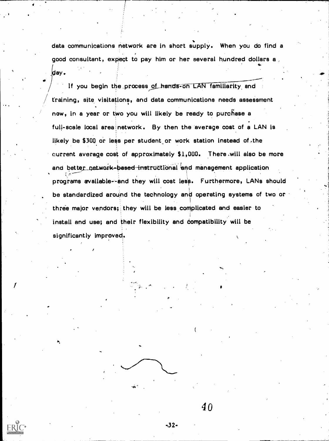data communications network are in short supply. When you do find a good consultant, expect to pay him or her several hundred dollars a ay.

If you begin the process of hands-on LAN familiarity and training, site visitations, and data communications needs assessment new, in a year or two you will likely be ready to purchase <sup>a</sup> full-scale local area network. By then the average cost of a LAN is likely be \$300 or less per student or work station instead of the current average cost of approximately \$1,000. There will also be more and better\_network-based instructional and management application programs available--and they will cost less. Furthermore, LANs should be standardized around the technology and operating systems of two or three major vendors; they will be less complicated and easier to install and use; and their flexibility and compatibility will be significantly improved.

ro.

.?J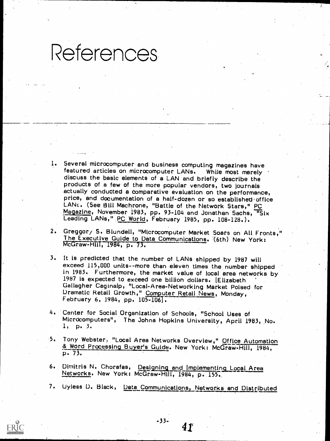# **References**

- Several microcomputer and business computing magazines have<br>featured articles on microcomputer LANs. While most merely discuss the basic elements of a LAN and briefly describe the products of a few of the more popular vendors, two journals actually conducted a comparative evaluation on the performance, price, and documentation of a half-dozen or so established-office<br>LANs. (See Bill Machrone, "Battle of the Network Stars," PC Magazine, November 1983, pp. 93-104 and Jonathan Sachs, "Six<br>Leading LANs," <u>PC World</u>, February 1985, pp. 108-128.).
- 2. Greggory S. Blundell, "Microcomputer Market Soars on All Fronts," The Executive Guide to Data Communications. '(6th) New York: McGraw-HIII, 1984, p. 73.
- 3. It is predicted that the number of LANs shipped by 1987 will exceed 115,000 units--more than eleven times the number shipped in 1983. Furthermore, the market value of local area networks by 1987 is expected to exceed one billion dollars. [Elizabeth for Gallagher Caginalp, "Local-Area-Networking Market Poised for Dramatic Retail Growth," Computer Retail News, Monday,
- 4. Center for Social Organization of Schools, "School Uses of Microcomputers", The Johns Hopkins University, April 1983, No.<br>1, p. 3.
- 5. Tony Webster. "Local Area Networks Overview," Office Automation<br>& Word Processing Buyer's Guide. New York: McGraw-Hill, 1984,<br>p. 73.
- 6. Dimitris N. Chorafas, Designing and Implementing Local Area Networks. New York: McGraw-Hill, 1984, p. 155.
- 7. Uyless D. Black, Data Communications, Networks and Distributed

 $-33-$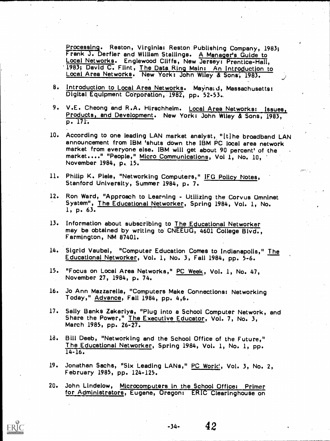Processing. Reston, Virginia: Reston. Publishing Company, 1983; Frank J. Derfler and William Stallings. A Manager's Guide to Local Networks. Englewood Cliffs, New Jersey: Prentice-Hall, 1983; David C. Flint, The Data Ring Main: An Introduction to Local Area Networks. New York: John Wiley & Sons, 1983.

- 8. Introduction to Local Area Networks. Maynald, Massachusetts:<br>Digital Equipment Corporation, 1982, pp. 52-53.
- 9. V.E. Cheong and R.A. Hirschheim. <u>Local Area Networks: Issues, Products, and Development</u>. New York: John Wiley & Sons, 1983, p. 171.
- 10. According to one leading LAN market analyst, "[t]he broadband LAN announcement from IBM 'shuts down the IBM PC local area network market from everyone else. IBM will get about 90 percent' of the market...." "People," Micro Communications, Vol 1, No. 10,<br>November 1984, p. 15.
- 11. Philip K. Piele, "Networking Computers," IFG Policy Notes, Stanford University, Summer 1984, p. 7.
- 12. Ron Ward, "Approach to Learning Utilizing the Corvus Omninet<br>System", <u>The Educational Networker</u>, Spring 1984, Vol. 1, No.<br>1, p. 63.
- 13. Information about subscribing to The Educational Networker may be obtained by writing to CNEEUG, 4601 College Blvd., Farmington, NM 87401.
- 14. Sigrid Vaubel, "Computer Education Comes to Indianapolis," The Educational Networker, Vol. 1, No. 3, Fall 1984, pp. 5-6.
- 15. "Focus on Local Area Networks," PC Week, Vol. 1, No. 47, November 27, 1984, p. 74.
- 16. Jo Ann Mazzarella, "Computers Make Connections: Networking Today," Advance, Fall 1984, pp. 4,6.
- 17. Sally Banks Zakariya, "Plug into a School Computer Network, and Share the Power," The Executive Educator, Vol. 7, No. 3, March 1985, pp. 26-27.
- 18. Bill Deeb, "Networking and the School Office of the Future,"<br>The Educational Networker, Spring 1984, Vol. 1, No. 1, pp.<br>14-16.
- 19. Jonathan Sachs, "Six Leading LANs," PC Work!, Vol. 3, No. 2, February 1985, pp. 124-125.
- 20. John Lindelow, Microcomputers in the School Office: Primer for Administrators, Eugene, Oregon: ERIC Clearinghouse on



 $-34-$  42